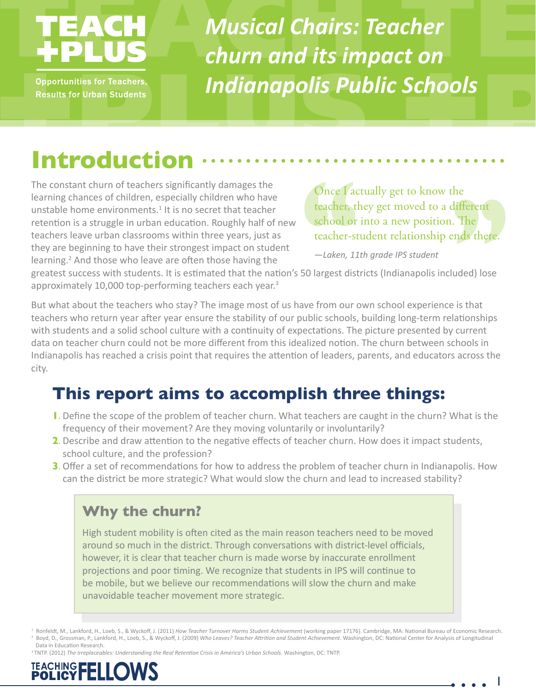**Opportunities for Teachers, Results for Urban Students**  *Musical Chairs: Teacher churn and its impact on Indianapolis Public Schools*

## **Introduction**

The constant churn of teachers significantly damages the learning chances of children, especially children who have unstable home environments.<sup>1</sup> It is no secret that teacher retention is a struggle in urban education. Roughly half of new teachers leave urban classrooms within three years, just as they are beginning to have their strongest impact on student learning.<sup>2</sup> And those who leave are often those having the

Once *l* actually get to know the teacher, they get moved to a different school or into a new position. The teacher-student relationship ends there.

*—Laken, 11th grade IPS student*

greatest success with students. It is estimated that the nation's 50 largest districts (Indianapolis included) lose approximately 10,000 top-performing teachers each year.<sup>3</sup>

But what about the teachers who stay? The image most of us have from our own school experience is that teachers who return year after year ensure the stability of our public schools, building long-term relationships with students and a solid school culture with a continuity of expectations. The picture presented by current data on teacher churn could not be more different from this idealized notion. The churn between schools in Indianapolis has reached a crisis point that requires the attention of leaders, parents, and educators across the city.

## **This report aims to accomplish three things:**

- **1**. Define the scope of the problem of teacher churn. What teachers are caught in the churn? What is the frequency of their movement? Are they moving voluntarily or involuntarily?
- **2**. Describe and draw attention to the negative effects of teacher churn. How does it impact students, school culture, and the profession?
- **3**. Offer a set of recommendations for how to address the problem of teacher churn in Indianapolis. How can the district be more strategic? What would slow the churn and lead to increased stability?

### **Why the churn?**

High student mobility is often cited as the main reason teachers need to be moved around so much in the district. Through conversations with district-level officials, however, it is clear that teacher churn is made worse by inaccurate enrollment projections and poor timing. We recognize that students in IPS will continue to be mobile, but we believe our recommendations will slow the churn and make unavoidable teacher movement more strategic.

1 Ronfeldt, M., Lankford, H., Loeb, S., & Wyckoff, J. (2011) *How Teacher Turnover Harms Student Achievement* (working paper 17176). Cambridge, MA: National Bureau of Economic Research. 2 Boyd, D., Grossman, P., Lankford, H., Loeb, S., & Wyckoff, J. (2009) *Who Leaves? Teacher Attrition and Student Achievement*. Washington, DC: National Center for Analysis of Longitudinal Data in Education Research.

<sup>3</sup>TNTP. (2012) *The Irreplaceables: Understanding the Real Retention Crisis in America's Urban Schools*. Washington, DC: TNTP.

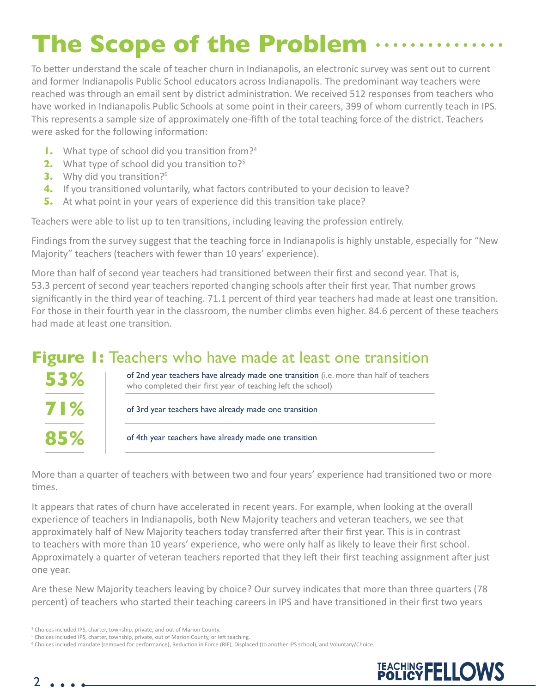## **The Scope of the Problem**

To better understand the scale of teacher churn in Indianapolis, an electronic survey was sent out to current and former Indianapolis Public School educators across Indianapolis. The predominant way teachers were reached was through an email sent by district administration. We received 512 responses from teachers who have worked in Indianapolis Public Schools at some point in their careers, 399 of whom currently teach in IPS. This represents a sample size of approximately one-fifth of the total teaching force of the district. Teachers were asked for the following information:

- **1.** What type of school did you transition from?<sup>4</sup>
- **2.** What type of school did you transition to?<sup>5</sup>
- **3.** Why did you transition?<sup>6</sup>
- **4.** If you transitioned voluntarily, what factors contributed to your decision to leave?
- **5.** At what point in your years of experience did this transition take place?

Teachers were able to list up to ten transitions, including leaving the profession entirely.

Findings from the survey suggest that the teaching force in Indianapolis is highly unstable, especially for "New Majority" teachers (teachers with fewer than 10 years' experience).

More than half of second year teachers had transitioned between their first and second year. That is, 53.3 percent of second year teachers reported changing schools after their first year. That number grows significantly in the third year of teaching. 71.1 percent of third year teachers had made at least one transition. For those in their fourth year in the classroom, the number climbs even higher. 84.6 percent of these teachers had made at least one transition.

### **Figure 1:** Teachers who have made at least one transition

| 53%        | of 2nd year teachers have already made one transition (i.e. more than half of teachers<br>who completed their first year of teaching left the school) |  |
|------------|-------------------------------------------------------------------------------------------------------------------------------------------------------|--|
| <b>71%</b> | of 3rd year teachers have already made one transition                                                                                                 |  |
| 85%        | of 4th year teachers have already made one transition                                                                                                 |  |

More than a quarter of teachers with between two and four years' experience had transitioned two or more times.

It appears that rates of churn have accelerated in recent years. For example, when looking at the overall experience of teachers in Indianapolis, both New Majority teachers and veteran teachers, we see that approximately half of New Majority teachers today transferred after their first year. This is in contrast to teachers with more than 10 years' experience, who were only half as likely to leave their first school. Approximately a quarter of veteran teachers reported that they left their first teaching assignment after just one year.

Are these New Majority teachers leaving by choice? Our survey indicates that more than three quarters (78 percent) of teachers who started their teaching careers in IPS and have transitioned in their first two years

<sup>6</sup> Choices included mandate (removed for performance), Reduction in Force (RIF), Displaced (to another IPS school), and Voluntary/Choice.



<sup>4</sup> Choices included IPS, charter, township, private, and out of Marion County.

<sup>&</sup>lt;sup>5</sup> Choices included IPS, charter, township, private, out of Marion County, or left teaching.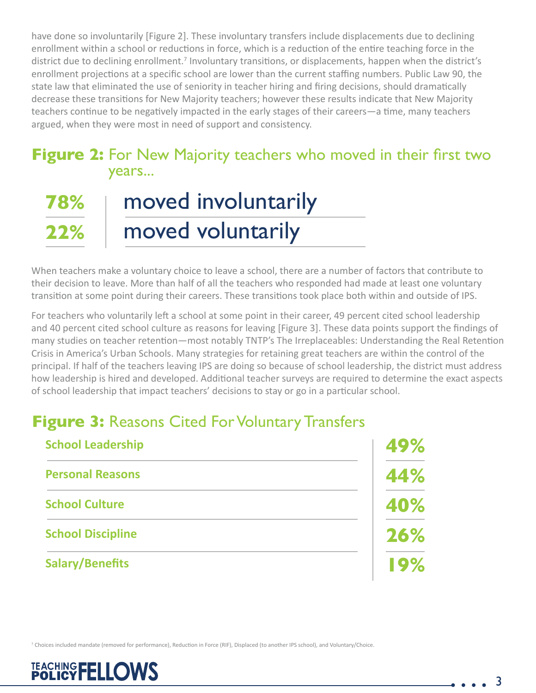have done so involuntarily [Figure 2]. These involuntary transfers include displacements due to declining enrollment within a school or reductions in force, which is a reduction of the entire teaching force in the district due to declining enrollment.<sup>7</sup> Involuntary transitions, or displacements, happen when the district's enrollment projections at a specific school are lower than the current staffing numbers. Public Law 90, the state law that eliminated the use of seniority in teacher hiring and firing decisions, should dramatically decrease these transitions for New Majority teachers; however these results indicate that New Majority teachers continue to be negatively impacted in the early stages of their careers—a time, many teachers argued, when they were most in need of support and consistency.

# **Figure 2:** For New Majority teachers who moved in their first two years...

#### moved involuntarily moved voluntarily **78% 22%**

When teachers make a voluntary choice to leave a school, there are a number of factors that contribute to their decision to leave. More than half of all the teachers who responded had made at least one voluntary transition at some point during their careers. These transitions took place both within and outside of IPS.

For teachers who voluntarily left a school at some point in their career, 49 percent cited school leadership and 40 percent cited school culture as reasons for leaving [Figure 3]. These data points support the findings of many studies on teacher retention—most notably TNTP's The Irreplaceables: Understanding the Real Retention Crisis in America's Urban Schools. Many strategies for retaining great teachers are within the control of the principal. If half of the teachers leaving IPS are doing so because of school leadership, the district must address how leadership is hired and developed. Additional teacher surveys are required to determine the exact aspects of school leadership that impact teachers' decisions to stay or go in a particular school.

## **Figure 3:** Reasons Cited For Voluntary Transfers

| <b>School Leadership</b> | 49% |
|--------------------------|-----|
| <b>Personal Reasons</b>  | 44% |
| <b>School Culture</b>    | 40% |
| <b>School Discipline</b> | 26% |
| <b>Salary/Benefits</b>   | 19% |

7 Choices included mandate (removed for performance), Reduction in Force (RIF), Displaced (to another IPS school), and Voluntary/Choice.

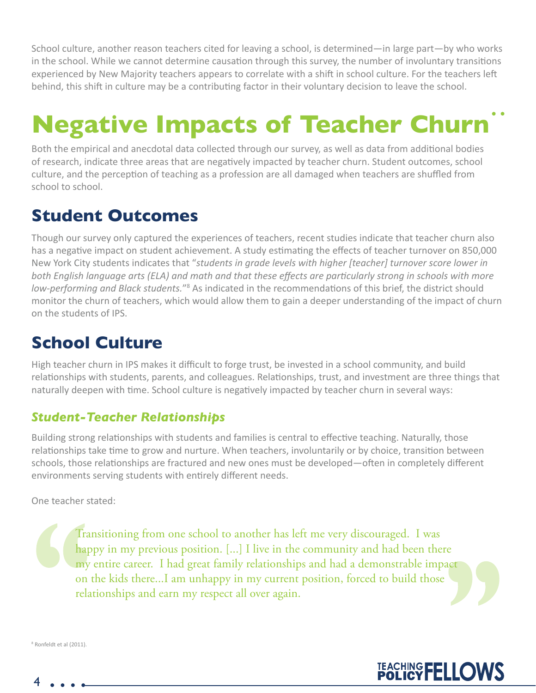School culture, another reason teachers cited for leaving a school, is determined—in large part—by who works in the school. While we cannot determine causation through this survey, the number of involuntary transitions experienced by New Majority teachers appears to correlate with a shift in school culture. For the teachers left behind, this shift in culture may be a contributing factor in their voluntary decision to leave the school.

## **Negative Impacts of Teacher Churn**

Both the empirical and anecdotal data collected through our survey, as well as data from additional bodies of research, indicate three areas that are negatively impacted by teacher churn. Student outcomes, school culture, and the perception of teaching as a profession are all damaged when teachers are shuffled from school to school.

### **Student Outcomes**

Though our survey only captured the experiences of teachers, recent studies indicate that teacher churn also has a negative impact on student achievement. A study estimating the effects of teacher turnover on 850,000 New York City students indicates that "*students in grade levels with higher [teacher] turnover score lower in both English language arts (ELA) and math and that these effects are particularly strong in schools with more*  low-performing and Black students."<sup>8</sup> As indicated in the recommendations of this brief, the district should monitor the churn of teachers, which would allow them to gain a deeper understanding of the impact of churn on the students of IPS.

## **School Culture**

High teacher churn in IPS makes it difficult to forge trust, be invested in a school community, and build relationships with students, parents, and colleagues. Relationships, trust, and investment are three things that naturally deepen with time. School culture is negatively impacted by teacher churn in several ways:

#### *Student-Teacher Relationships*

Building strong relationships with students and families is central to effective teaching. Naturally, those relationships take time to grow and nurture. When teachers, involuntarily or by choice, transition between schools, those relationships are fractured and new ones must be developed—often in completely different environments serving students with entirely different needs.

One teacher stated:

Transitioning from one school to another has left me very discouraged. I was happy in my previous position. [...] I live in the community and had been there my entire career. I had great family relationships and had a demonstrable impact on the kids there...I am unhappy in my current position, forced to build those relationships and earn my respect all over again.

TEACHING FELLOWS

8 Ronfeldt et al (2011).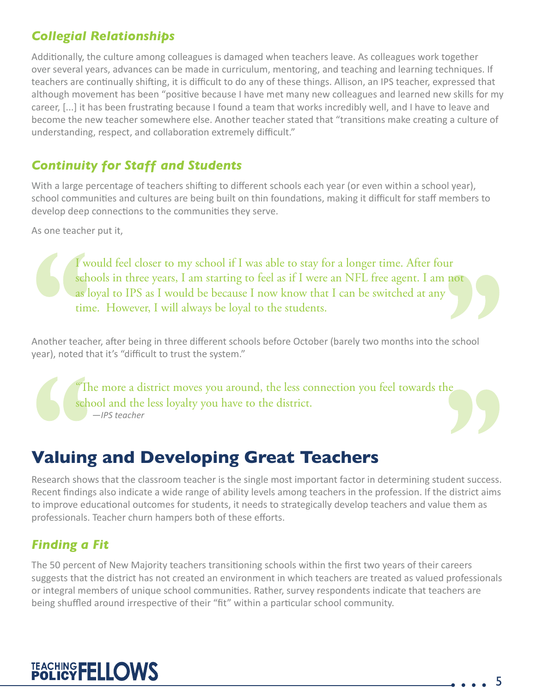### *Collegial Relationships*

Additionally, the culture among colleagues is damaged when teachers leave. As colleagues work together over several years, advances can be made in curriculum, mentoring, and teaching and learning techniques. If teachers are continually shifting, it is difficult to do any of these things. Allison, an IPS teacher, expressed that although movement has been "positive because I have met many new colleagues and learned new skills for my career, [...] it has been frustrating because I found a team that works incredibly well, and I have to leave and become the new teacher somewhere else. Another teacher stated that "transitions make creating a culture of understanding, respect, and collaboration extremely difficult."

### *Continuity for Staff and Students*

With a large percentage of teachers shifting to different schools each year (or even within a school year), school communities and cultures are being built on thin foundations, making it difficult for staff members to develop deep connections to the communities they serve.

As one teacher put it,

I would feel closer to my school if I was able to stay for a longer time. After four schools in three years, I am starting to feel as if I were an NFL free agent. I am not as loyal to IPS as I would be because I now know that I can be switched at any time. However, I will always be loyal to the students.

Another teacher, after being in three different schools before October (barely two months into the school year), noted that it's "difficult to trust the system."

The more a district moves you around, the less connection you feel towards the school and the less loyalty you have to the district. *—IPS teacher*

## **Valuing and Developing Great Teachers**

Research shows that the classroom teacher is the single most important factor in determining student success. Recent findings also indicate a wide range of ability levels among teachers in the profession. If the district aims to improve educational outcomes for students, it needs to strategically develop teachers and value them as professionals. Teacher churn hampers both of these efforts.

### *Finding a Fit*

The 50 percent of New Majority teachers transitioning schools within the first two years of their careers suggests that the district has not created an environment in which teachers are treated as valued professionals or integral members of unique school communities. Rather, survey respondents indicate that teachers are being shuffled around irrespective of their "fit" within a particular school community.

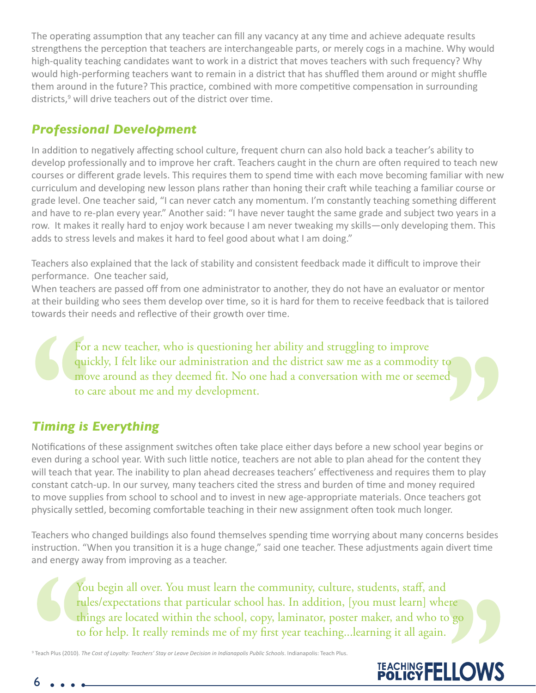The operating assumption that any teacher can fill any vacancy at any time and achieve adequate results strengthens the perception that teachers are interchangeable parts, or merely cogs in a machine. Why would high-quality teaching candidates want to work in a district that moves teachers with such frequency? Why would high-performing teachers want to remain in a district that has shuffled them around or might shuffle them around in the future? This practice, combined with more competitive compensation in surrounding districts,<sup>9</sup> will drive teachers out of the district over time.

### *Professional Development*

In addition to negatively affecting school culture, frequent churn can also hold back a teacher's ability to develop professionally and to improve her craft. Teachers caught in the churn are often required to teach new courses or different grade levels. This requires them to spend time with each move becoming familiar with new curriculum and developing new lesson plans rather than honing their craft while teaching a familiar course or grade level. One teacher said, "I can never catch any momentum. I'm constantly teaching something different and have to re-plan every year." Another said: "I have never taught the same grade and subject two years in a row. It makes it really hard to enjoy work because I am never tweaking my skills—only developing them. This adds to stress levels and makes it hard to feel good about what I am doing."

Teachers also explained that the lack of stability and consistent feedback made it difficult to improve their performance. One teacher said,

When teachers are passed off from one administrator to another, they do not have an evaluator or mentor at their building who sees them develop over time, so it is hard for them to receive feedback that is tailored towards their needs and reflective of their growth over time.

For a new teacher, who is questioning her ability and struggling to improve quickly, I felt like our administration and the district saw me as a commodity to move around as they deemed fit. No one had a conversation with me or seemed to care about me and my development.

### *Timing is Everything*

Notifications of these assignment switches often take place either days before a new school year begins or even during a school year. With such little notice, teachers are not able to plan ahead for the content they will teach that year. The inability to plan ahead decreases teachers' effectiveness and requires them to play constant catch-up. In our survey, many teachers cited the stress and burden of time and money required to move supplies from school to school and to invest in new age-appropriate materials. Once teachers got physically settled, becoming comfortable teaching in their new assignment often took much longer.

Teachers who changed buildings also found themselves spending time worrying about many concerns besides instruction. "When you transition it is a huge change," said one teacher. These adjustments again divert time and energy away from improving as a teacher.

You begin all over. You must learn the community, culture, students, staff, and rules/expectations that particular school has. In addition, [you must learn] where things are located within the school, copy, laminator, poster maker, and who to go to for help. It really reminds me of my first year teaching...learning it all again.

9 Teach Plus (2010). *The Cost of Loyalty: Teachers' Stay or Leave Decision in Indianapolis Public Schools*. Indianapolis: Teach Plus.

## TEACHING FELLOWS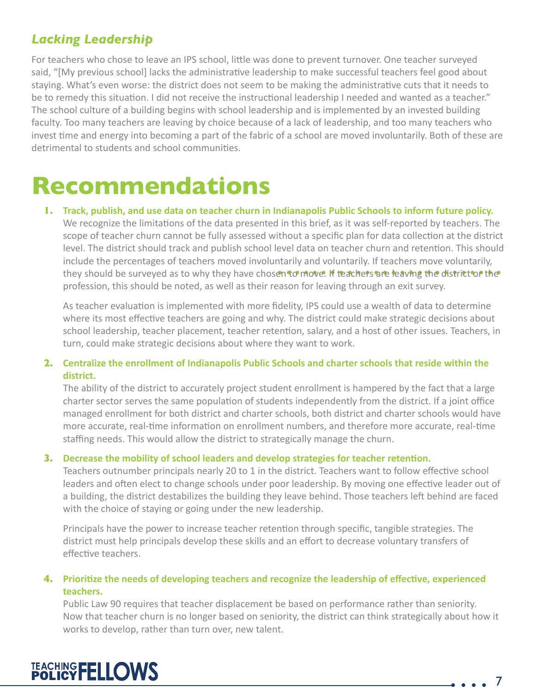### *Lacking Leadership*

For teachers who chose to leave an IPS school, little was done to prevent turnover. One teacher surveyed said, "[My previous school] lacks the administrative leadership to make successful teachers feel good about staying. What's even worse: the district does not seem to be making the administrative cuts that it needs to be to remedy this situation. I did not receive the instructional leadership I needed and wanted as a teacher." The school culture of a building begins with school leadership and is implemented by an invested building faculty. Too many teachers are leaving by choice because of a lack of leadership, and too many teachers who invest time and energy into becoming a part of the fabric of a school are moved involuntarily. Both of these are detrimental to students and school communities.

## **Recommendations**

**1. Track, publish, and use data on teacher churn in Indianapolis Public Schools to inform future policy.** We recognize the limitations of the data presented in this brief, as it was self-reported by teachers. The scope of teacher churn cannot be fully assessed without a specific plan for data collection at the district level. The district should track and publish school level data on teacher churn and retention. This should include the percentages of teachers moved involuntarily and voluntarily. If teachers move voluntarily, they should be surveyed as to why they have chosen to move. If teachers are leaving the district or the profession, this should be noted, as well as their reason for leaving through an exit survey.

As teacher evaluation is implemented with more fidelity, IPS could use a wealth of data to determine where its most effective teachers are going and why. The district could make strategic decisions about school leadership, teacher placement, teacher retention, salary, and a host of other issues. Teachers, in turn, could make strategic decisions about where they want to work.

#### **2. Centralize the enrollment of Indianapolis Public Schools and charter schools that reside within the district.**

The ability of the district to accurately project student enrollment is hampered by the fact that a large charter sector serves the same population of students independently from the district. If a joint office managed enrollment for both district and charter schools, both district and charter schools would have more accurate, real-time information on enrollment numbers, and therefore more accurate, real-time staffing needs. This would allow the district to strategically manage the churn.

#### **3. Decrease the mobility of school leaders and develop strategies for teacher retention.**

Teachers outnumber principals nearly 20 to 1 in the district. Teachers want to follow effective school leaders and often elect to change schools under poor leadership. By moving one effective leader out of a building, the district destabilizes the building they leave behind. Those teachers left behind are faced with the choice of staying or going under the new leadership.

Principals have the power to increase teacher retention through specific, tangible strategies. The district must help principals develop these skills and an effort to decrease voluntary transfers of effective teachers.

#### **4. Prioritize the needs of developing teachers and recognize the leadership of effective, experienced teachers.**

Public Law 90 requires that teacher displacement be based on performance rather than seniority. Now that teacher churn is no longer based on seniority, the district can think strategically about how it works to develop, rather than turn over, new talent.



 $\bullet$   $\bullet$   $\bullet$  7